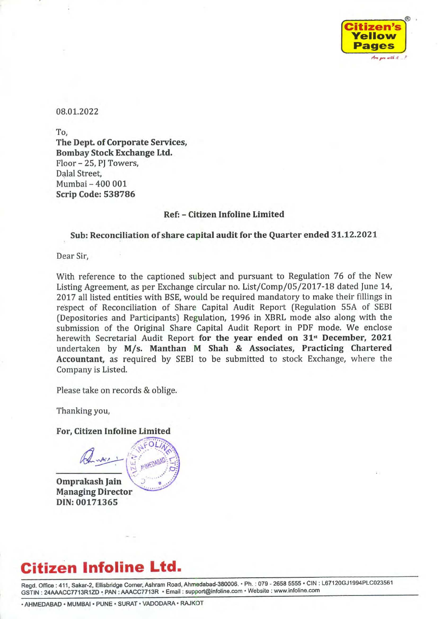

08.01.2022

To, The Dept. of Corporate Services, Bombay Stock Exchange Ltd. Floor - 25, PJ Towers, Dalal Street, Mumbai - 400 001 Scrip Code: 538786

## Ref: - Citizen Infoline Limited

## Sub: Reconciliation of share capital audit for the Quarter ended 31.12.2021

Dear Sir,

With reference to the captioned subject and pursuant to Regulation 76 of the New Listing Agreement, as per Exchange circular no. List/Comp/05/2017-18 dated June 14, 2017 all listed entities with BSE, would be required mandatory to make their fillings in respect of Reconciliation of Share Capital Audit Report (Regulation 55A of SEBI (Depositories and Participants) Regulation, 1996 in XBRL mode also along with the submission of the Original Share Capital Audit Report in PDF mode. We enclose herewith Secretarial Audit Report for the year ended on 31<sup>st</sup> December, 2021 undertaken by M/s. Manthan M Shah & Associates, Practicing Chartered Accountant, as required by SEBI to be submitted to stock Exchange, where the Company is Listed.

Please take on records & oblige.

Thanking you,

For, Citizen Infoline Limited FOLIA

Omprakash Jain \ ~ Managing Director DIN: 00171365

# Citizen Infoline Ltd.

Regd. Office : 411, Sakar-2, Ellisbridge Corner, Ashram Road, Ahmedabad-380006. ° Ph. : 079 - 2658 5555 « CIN : L67120GJ1994PLC023561 GSTIN : 24AAACC7713R1ZD « PAN : AAACC7713R \* Email : support@infoline.com + Website : www.infoline.com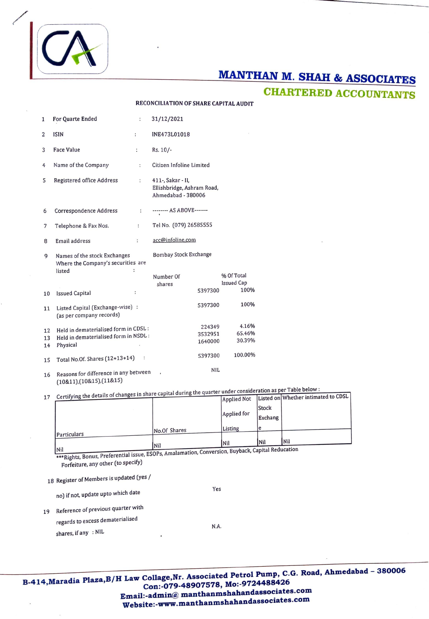# A

**CHARTERED ACCOUNTANTS** 

|          |                                                                                                                              |                      | RECONCILIATION OF SHARE CAPITAL AUDIT                                 |                                   |               |
|----------|------------------------------------------------------------------------------------------------------------------------------|----------------------|-----------------------------------------------------------------------|-----------------------------------|---------------|
| 1        | For Quarte Ended                                                                                                             | $\ddot{\cdot}$       | 31/12/2021                                                            |                                   |               |
| 2        | <b>ISIN</b>                                                                                                                  | $\ddot{\phantom{a}}$ | INE473L01018                                                          |                                   |               |
| 3        | <b>Face Value</b>                                                                                                            | :                    | Rs. 10/-                                                              |                                   |               |
| 4        | Name of the Company                                                                                                          | ÷                    | Citizen Infoline Limited                                              |                                   |               |
| 5        | Registered office Address                                                                                                    | $\ddot{\cdot}$       | 411-, Sakar - II,<br>Ellishbridge, Ashram Road,<br>Ahmedabad - 380006 |                                   |               |
| 6        | Correspondence Address                                                                                                       | :                    | -------- AS ABOVE-------                                              |                                   |               |
| 7        | Telephone & Fax Nos.                                                                                                         | ÷                    | Tel No. (079) 26585555                                                |                                   |               |
| 8        | Email address                                                                                                                | $\ddot{\cdot}$       | acc@infoline.com                                                      |                                   |               |
| 9        | Names of the stock Exchanges<br>Where the Company's securities are                                                           | $\ddot{\phantom{a}}$ | Bombay Stock Exchange                                                 |                                   |               |
| 10       | listed<br><b>Issued Capital</b>                                                                                              | :                    | Number Of<br>shares<br>5397300                                        | % Of Total<br>Issued Cap<br>100%  |               |
|          | Listed Capital (Exchange-wise) :                                                                                             |                      | 5397300                                                               | 100%                              |               |
| 11       | (as per company records)                                                                                                     |                      |                                                                       |                                   |               |
| 12       | Held in dematerialised form in CDSL:                                                                                         |                      | 224349<br>3532951                                                     | 4.16%<br>65.46%                   |               |
| 13<br>14 | Held in dematerialised form in NSDL:<br>Physical                                                                             |                      | 1640000                                                               | 30.39%                            |               |
| 15       | Total No.Of. Shares (12+13+14)                                                                                               | $\sim$ 1             | 5397300                                                               | 100.00%                           |               |
| 16       | Reasons for difference in any between<br>$(10&11)$ , $(10&15)$ , $(11&15)$                                                   |                      | NIL                                                                   |                                   |               |
| 17       | Certifying the details of changes in share capital during the quarter under consideration                                    |                      |                                                                       |                                   | Liste         |
|          |                                                                                                                              |                      |                                                                       | <b>Applied Not</b><br>Applied for | Stocl<br>Exch |
|          |                                                                                                                              |                      | No.Of Shares                                                          | Listing                           | e             |
|          | Particulars                                                                                                                  |                      | Nil                                                                   | Nil                               | Nil           |
|          | ***Rights, Bonus, Preferential issue, ESOPs, Amalamation, Conversion, Buyback, Capital<br>Forfeiture, any other (to specify) |                      |                                                                       |                                   |               |
|          | 18 Register of Members is updated (yes /                                                                                     |                      |                                                                       |                                   |               |
|          | no) if not, update upto which date                                                                                           |                      | Yes                                                                   |                                   |               |
| 19       | Reference of previous quarter with                                                                                           |                      |                                                                       |                                   |               |
|          | regards to excess dematerialised                                                                                             |                      | N.A.                                                                  |                                   |               |
|          | shares, if any : NIL                                                                                                         |                      |                                                                       |                                   |               |
|          |                                                                                                                              |                      |                                                                       |                                   |               |
|          |                                                                                                                              |                      |                                                                       |                                   |               |

17 Certifying the details of changes in share capital during the quarter under consideration as per Table below : **Lapplied Not** Listed on Whether intimated to CDSL

|                               |                                                           | <b>Applied Not</b> |         | L1  |
|-------------------------------|-----------------------------------------------------------|--------------------|---------|-----|
|                               |                                                           |                    | Stock   |     |
|                               |                                                           | Applied for        | Exchang |     |
|                               | No.Of Shares                                              | Listing            | le      |     |
| Particulars                   |                                                           |                    |         |     |
|                               | Nil                                                       | Nil                | Nil     | Nil |
| <b>Nil</b><br>$\cdot$ $\cdot$ | ESOBe Amalamation Conversion. Buyback, Capital Reducation |                    |         |     |

Nil<br>\*\*\*Rights, Bonus, Preferential issue, ESOPs, Amalamation, Conversion,

CA

B-414, Maradia Plaza, B/H Law Collage, Nr. Associated Petrol Pump, C.G. Road, Ahmedabad - 380006 Con:-079-48907578, Mo: Email:-admin@ manthanmshahandassociates.com<br>Email:-admin@ manthanmshahandassociates.com Website:-www.manthanmshahand associates.com